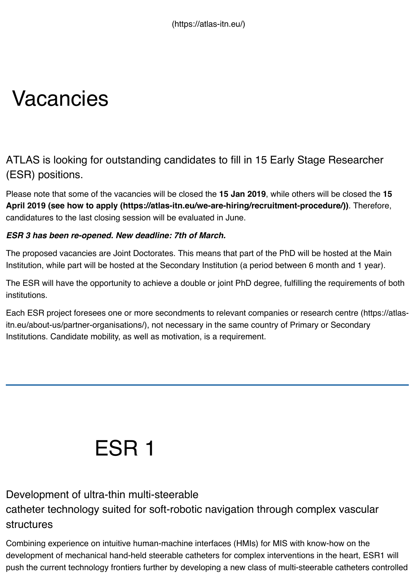### ATLAS is looking for outstanding candidates to fill in 15 Early Stage Researd (ESR) positions.

Please note that some of the vacancies will be closed the 15 Jan 2019, while others will be closed April 2019 (see how to apply (https://atlas-itn.eu/we-are-hiring/recruitment-procedure/)). The candidatures to the last closing session will be evaluated in June.

#### *ESR 3 has been re-opened. New deadline: 7th of March.*

The proposed vacancies are Joint Doctorates. This means that part of the PhD will be hosted at the Institution, while part will be hosted at the Secondary Institution (a period between 6 month and 1

The ESR will have the opportunity to achieve a double or joint PhD degree, fulfilling the requirement institutions.

Each ESR proje[ct foresees one or more secondments to relevant companies or research cen](https://atlas-itn.eu/we-are-hiring/recruitment-procedure/)tre ( itn.eu/about-us/partner-organisations/), not necessary in the same country of Primary or Seconda Institutions. Candidate mobility, as well as motivation, is a requirement.

### [ESR 1](https://atlas-itn.eu/about-us/partner-organisations/)

#### Development of ultra-thin multi-steerable

catheter technology suited for soft-robotic navigation through complex vascular structures

Combining experience on intuitive human-machine interfaces (HMIs) for MIS with know-how on the development of mechanical hand-held steerable catheters for complex interventions in the heart, push the current technology frontiers further by developing a new class of multi-steerable catheter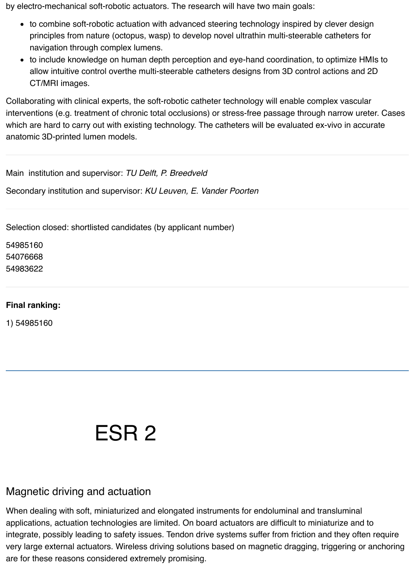by electro-mechanical soft-robotic actuators. The research will have two main goals:

- to combine soft-robotic actuation with advanced steering technology inspired by clever design principles from nature (octopus, wasp) to develop novel ultrathin multi-steerable catheters for navigation through complex lumens.
- to include knowledge on human depth perception and eye-hand coordination, to optimize HMIs to allow intuitive control overthe multi-steerable catheters designs from 3D control actions and 2D CT/MRI images.

Collaborating with clinical experts, the soft-robotic catheter technology will enable complex vascular interventions (e.g. treatment of chronic total occlusions) or stress-free passage through narrow ureter. Cases which are hard to carry out with existing technology. The catheters will be evaluated ex-vivo in accurate anatomic 3D-printed lumen models.

Main institution and supervisor: *TU Delft, P. Breedveld*

Secondary institution and supervisor: *KU Leuven, E. Vander Poorten*

Selection closed: shortlisted candidates (by applicant number)

54985160 54076668 54983622

#### **Final ranking:**

1) 54985160

## ESR 2

#### Magnetic driving and actuation

When dealing with soft, miniaturized and elongated instruments for endoluminal and transluminal applications, actuation technologies are limited. On board actuators are difficult to miniaturize and to integrate, possibly leading to safety issues. Tendon drive systems suffer from friction and they often require very large external actuators. Wireless driving solutions based on magnetic dragging, triggering or anchoring are for these reasons considered extremely promising.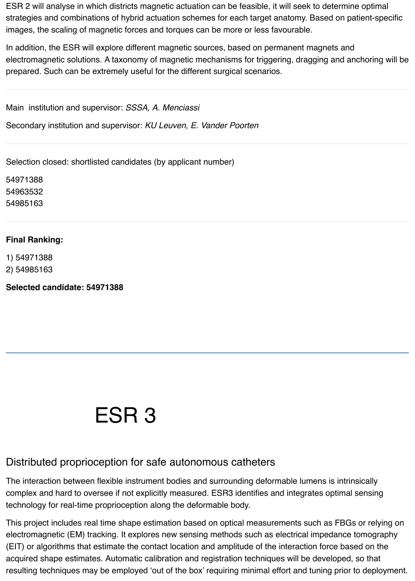ESR 2 will analyse in which districts magnetic actuation can be feasible, it will seek to determine optimal strategies and combinations of hybrid actuation schemes for each target anatomy. Based on patient-specific images, the scaling of magnetic forces and torques can be more or less favourable.

In addition, the ESR will explore different magnetic sources, based on permanent magnets and electromagnetic solutions. A taxonomy of magnetic mechanisms for triggering, dragging and anchoring will be prepared. Such can be extremely useful for the different surgical scenarios.

Main institution and supervisor: *SSSA, A. Menciassi*

Secondary institution and supervisor: *KU Leuven, E. Vander Poorten*

Selection closed: shortlisted candidates (by applicant number)

54971388 54963532 54985163

#### **Final Ranking:**

1) 54971388 2) 54985163

**Selected candidate: 54971388**

### ESR 3

#### Distributed proprioception for safe autonomous catheters

The interaction between flexible instrument bodies and surrounding deformable lumens is intrinsically complex and hard to oversee if not explicitly measured. ESR3 identifies and integrates optimal sensing technology for real-time proprioception along the deformable body.

This project includes real time shape estimation based on optical measurements such as FBGs or relying on electromagnetic (EM) tracking. It explores new sensing methods such as electrical impedance tomography (EIT) or algorithms that estimate the contact location and amplitude of the interaction force based on the acquired shape estimates. Automatic calibration and registration techniques will be developed, so that resulting techniques may be employed 'out of the box' requiring minimal effort and tuning prior to deployment.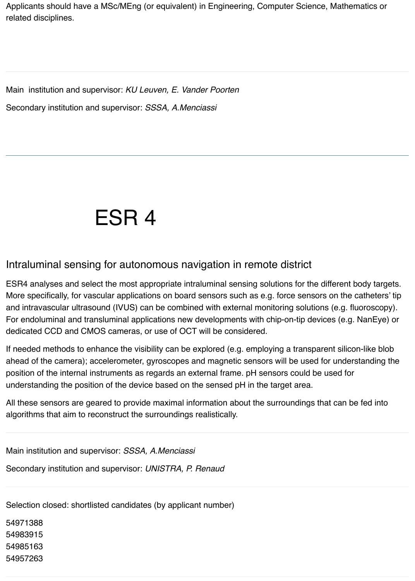Applicants should have a MSc/MEng (or equivalent) in Engineering, Computer Science, Mathematics or related disciplines.

Main institution and supervisor: *KU Leuven, E. Vander Poorten* Secondary institution and supervisor: *SSSA, A.Menciassi*

## ESR 4

#### Intraluminal sensing for autonomous navigation in remote district

ESR4 analyses and select the most appropriate intraluminal sensing solutions for the different body targets. More specifically, for vascular applications on board sensors such as e.g. force sensors on the catheters' tip and intravascular ultrasound (IVUS) can be combined with external monitoring solutions (e.g. fluoroscopy). For endoluminal and transluminal applications new developments with chip-on-tip devices (e.g. NanEye) or dedicated CCD and CMOS cameras, or use of OCT will be considered.

If needed methods to enhance the visibility can be explored (e.g. employing a transparent silicon-like blob ahead of the camera); accelerometer, gyroscopes and magnetic sensors will be used for understanding the position of the internal instruments as regards an external frame. pH sensors could be used for understanding the position of the device based on the sensed pH in the target area.

All these sensors are geared to provide maximal information about the surroundings that can be fed into algorithms that aim to reconstruct the surroundings realistically.

Main institution and supervisor: *SSSA, A.Menciassi* Secondary institution and supervisor: *UNISTRA, P. Renaud*

Selection closed: shortlisted candidates (by applicant number)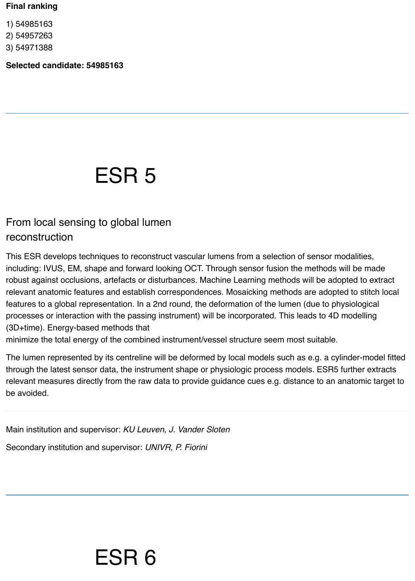#### **Final ranking**

1) 54985163

2) 54957263

3) 54971388

**Selected candidate: 54985163**

### ESR 5

#### From local sensing to global lumen reconstruction

This ESR develops techniques to reconstruct vascular lumens from a selection of sensor modalities, including: IVUS, EM, shape and forward looking OCT. Through sensor fusion the methods will be made robust against occlusions, artefacts or disturbances. Machine Learning methods will be adopted to extract relevant anatomic features and establish correspondences. Mosaicking methods are adopted to stitch local features to a global representation. In a 2nd round, the deformation of the lumen (due to physiological processes or interaction with the passing instrument) will be incorporated. This leads to 4D modelling (3D+time). Energy-based methods that

minimize the total energy of the combined instrument/vessel structure seem most suitable.

The lumen represented by its centreline will be deformed by local models such as e.g. a cylinder-model fitted through the latest sensor data, the instrument shape or physiologic process models. ESR5 further extracts relevant measures directly from the raw data to provide guidance cues e.g. distance to an anatomic target to be avoided.

Main institution and supervisor: *KU Leuven, J. Vander Sloten*

ESR 6

Secondary institution and supervisor: *UNIVR, P. Fiorini*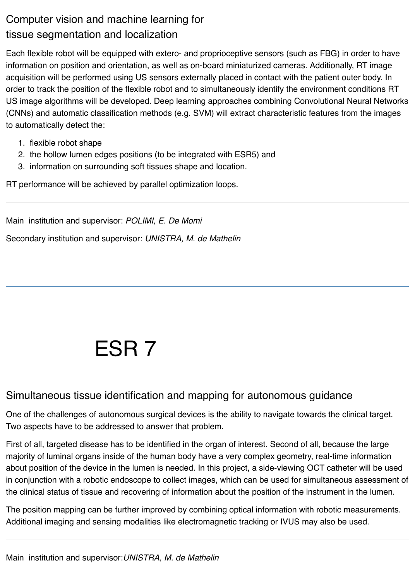### Computer vision and machine learning for tissue segmentation and localization

Each flexible robot will be equipped with extero- and proprioceptive sensors (such as FBG) in order to have information on position and orientation, as well as on-board miniaturized cameras. Additionally, RT image acquisition will be performed using US sensors externally placed in contact with the patient outer body. In order to track the position of the flexible robot and to simultaneously identify the environment conditions RT US image algorithms will be developed. Deep learning approaches combining Convolutional Neural Networks (CNNs) and automatic classification methods (e.g. SVM) will extract characteristic features from the images to automatically detect the:

- 1. flexible robot shape
- 2. the hollow lumen edges positions (to be integrated with ESR5) and
- 3. information on surrounding soft tissues shape and location.

RT performance will be achieved by parallel optimization loops.

Main institution and supervisor: *POLIMI, E. De Momi*

Secondary institution and supervisor: *UNISTRA, M. de Mathelin*

# ESR 7

#### Simultaneous tissue identification and mapping for autonomous guidance

One of the challenges of autonomous surgical devices is the ability to navigate towards the clinical target. Two aspects have to be addressed to answer that problem.

First of all, targeted disease has to be identified in the organ of interest. Second of all, because the large majority of luminal organs inside of the human body have a very complex geometry, real-time information about position of the device in the lumen is needed. In this project, a side-viewing OCT catheter will be used in conjunction with a robotic endoscope to collect images, which can be used for simultaneous assessment of the clinical status of tissue and recovering of information about the position of the instrument in the lumen.

The position mapping can be further improved by combining optical information with robotic measurements. Additional imaging and sensing modalities like electromagnetic tracking or IVUS may also be used.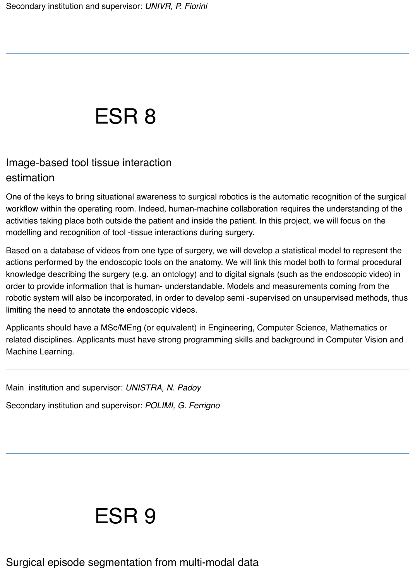## ESR 8

### Image-based tool tissue interaction estimation

One of the keys to bring situational awareness to surgical robotics is the automatic recognition of the surgical workflow within the operating room. Indeed, human-machine collaboration requires the understanding of the activities taking place both outside the patient and inside the patient. In this project, we will focus on the modelling and recognition of tool -tissue interactions during surgery.

Based on a database of videos from one type of surgery, we will develop a statistical model to represent the actions performed by the endoscopic tools on the anatomy. We will link this model both to formal procedural knowledge describing the surgery (e.g. an ontology) and to digital signals (such as the endoscopic video) in order to provide information that is human- understandable. Models and measurements coming from the robotic system will also be incorporated, in order to develop semi -supervised on unsupervised methods, thus limiting the need to annotate the endoscopic videos.

Applicants should have a MSc/MEng (or equivalent) in Engineering, Computer Science, Mathematics or related disciplines. Applicants must have strong programming skills and background in Computer Vision and Machine Learning.

Main institution and supervisor: *UNISTRA, N. Padoy*

Secondary institution and supervisor: *POLIMI, G. Ferrigno*

### ESR 9

Surgical episode segmentation from multi-modal data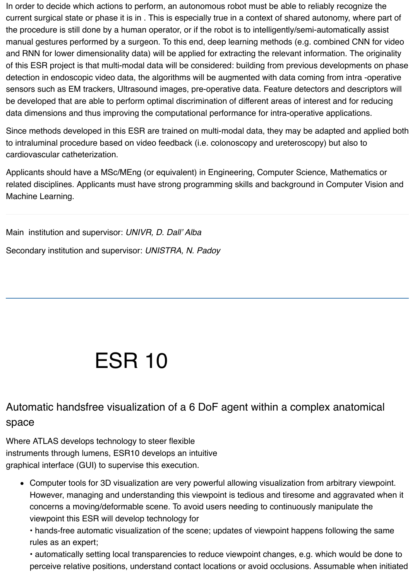In order to decide which actions to perform, an autonomous robot must be able to reliably recognize the current surgical state or phase it is in . This is especially true in a context of shared autonomy, where part of the procedure is still done by a human operator, or if the robot is to intelligently/semi-automatically assist manual gestures performed by a surgeon. To this end, deep learning methods (e.g. combined CNN for video and RNN for lower dimensionality data) will be applied for extracting the relevant information. The originality of this ESR project is that multi-modal data will be considered: building from previous developments on phase detection in endoscopic video data, the algorithms will be augmented with data coming from intra -operative sensors such as EM trackers, Ultrasound images, pre-operative data. Feature detectors and descriptors will be developed that are able to perform optimal discrimination of different areas of interest and for reducing data dimensions and thus improving the computational performance for intra-operative applications.

Since methods developed in this ESR are trained on multi-modal data, they may be adapted and applied both to intraluminal procedure based on video feedback (i.e. colonoscopy and ureteroscopy) but also to cardiovascular catheterization.

Applicants should have a MSc/MEng (or equivalent) in Engineering, Computer Science, Mathematics or related disciplines. Applicants must have strong programming skills and background in Computer Vision and Machine Learning.

Main institution and supervisor: *UNIVR, D. Dall' Alba*  Secondary institution and supervisor: *UNISTRA, N. Padoy*

## ESR 10

### Automatic handsfree visualization of a 6 DoF agent within a complex anatomical space

Where ATLAS develops technology to steer flexible instruments through lumens, ESR10 develops an intuitive graphical interface (GUI) to supervise this execution.

Computer tools for 3D visualization are very powerful allowing visualization from arbitrary viewpoint. However, managing and understanding this viewpoint is tedious and tiresome and aggravated when it concerns a moving/deformable scene. To avoid users needing to continuously manipulate the viewpoint this ESR will develop technology for

• hands-free automatic visualization of the scene; updates of viewpoint happens following the same rules as an expert;

• automatically setting local transparencies to reduce viewpoint changes, e.g. which would be done to perceive relative positions, understand contact locations or avoid occlusions. Assumable when initiated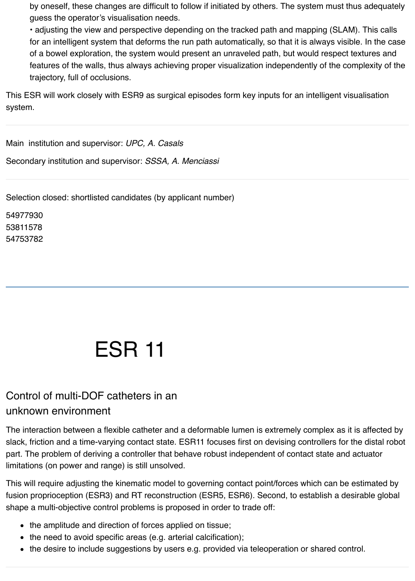by oneself, these changes are difficult to follow if initiated by others. The system must thus adequately guess the operator's visualisation needs.

• adjusting the view and perspective depending on the tracked path and mapping (SLAM). This calls for an intelligent system that deforms the run path automatically, so that it is always visible. In the case of a bowel exploration, the system would present an unraveled path, but would respect textures and features of the walls, thus always achieving proper visualization independently of the complexity of the trajectory, full of occlusions.

This ESR will work closely with ESR9 as surgical episodes form key inputs for an intelligent visualisation system.

Main institution and supervisor: *UPC, A. Casals*

Secondary institution and supervisor: *SSSA, A. Menciassi*

Selection closed: shortlisted candidates (by applicant number)

54977930 53811578 54753782

# ESR 11

#### Control of multi-DOF catheters in an unknown environment

The interaction between a flexible catheter and a deformable lumen is extremely complex as it is affected by slack, friction and a time-varying contact state. ESR11 focuses first on devising controllers for the distal robot part. The problem of deriving a controller that behave robust independent of contact state and actuator limitations (on power and range) is still unsolved.

This will require adjusting the kinematic model to governing contact point/forces which can be estimated by fusion proprioception (ESR3) and RT reconstruction (ESR5, ESR6). Second, to establish a desirable global shape a multi-objective control problems is proposed in order to trade off:

- the amplitude and direction of forces applied on tissue;
- the need to avoid specific areas (e.g. arterial calcification);
- the desire to include suggestions by users e.g. provided via teleoperation or shared control.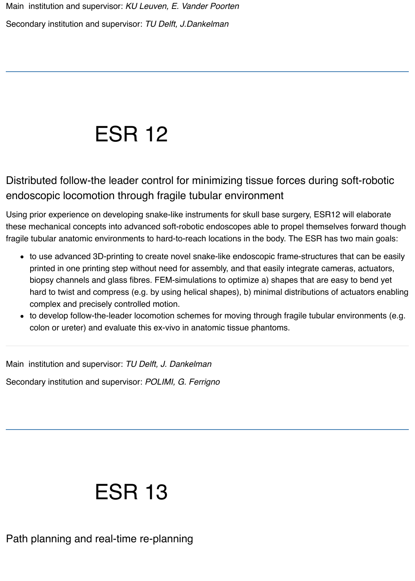# ESR 12

Distributed follow-the leader control for minimizing tissue forces during soft-robotic endoscopic locomotion through fragile tubular environment

Using prior experience on developing snake-like instruments for skull base surgery, ESR12 will elaborate these mechanical concepts into advanced soft-robotic endoscopes able to propel themselves forward though fragile tubular anatomic environments to hard-to-reach locations in the body. The ESR has two main goals:

- to use advanced 3D-printing to create novel snake-like endoscopic frame-structures that can be easily printed in one printing step without need for assembly, and that easily integrate cameras, actuators, biopsy channels and glass fibres. FEM-simulations to optimize a) shapes that are easy to bend yet hard to twist and compress (e.g. by using helical shapes), b) minimal distributions of actuators enabling complex and precisely controlled motion.
- to develop follow-the-leader locomotion schemes for moving through fragile tubular environments (e.g. colon or ureter) and evaluate this ex-vivo in anatomic tissue phantoms.

Main institution and supervisor: *TU Delft, J. Dankelman*

Secondary institution and supervisor: *POLIMI, G. Ferrigno*

# ESR 13

Path planning and real-time re-planning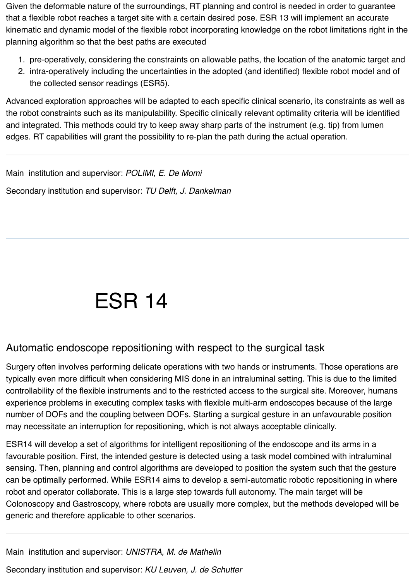Given the deformable nature of the surroundings, RT planning and control is needed in order to guarantee that a flexible robot reaches a target site with a certain desired pose. ESR 13 will implement an accurate kinematic and dynamic model of the flexible robot incorporating knowledge on the robot limitations right in the planning algorithm so that the best paths are executed

- 1. pre-operatively, considering the constraints on allowable paths, the location of the anatomic target and
- 2. intra-operatively including the uncertainties in the adopted (and identified) flexible robot model and of the collected sensor readings (ESR5).

Advanced exploration approaches will be adapted to each specific clinical scenario, its constraints as well as the robot constraints such as its manipulability. Specific clinically relevant optimality criteria will be identified and integrated. This methods could try to keep away sharp parts of the instrument (e.g. tip) from lumen edges. RT capabilities will grant the possibility to re-plan the path during the actual operation.

Main institution and supervisor: *POLIMI, E. De Momi* Secondary institution and supervisor: *TU Delft, J. Dankelman*

# ESR 14

#### Automatic endoscope repositioning with respect to the surgical task

Surgery often involves performing delicate operations with two hands or instruments. Those operations are typically even more difficult when considering MIS done in an intraluminal setting. This is due to the limited controllability of the flexible instruments and to the restricted access to the surgical site. Moreover, humans experience problems in executing complex tasks with flexible multi-arm endoscopes because of the large number of DOFs and the coupling between DOFs. Starting a surgical gesture in an unfavourable position may necessitate an interruption for repositioning, which is not always acceptable clinically.

ESR14 will develop a set of algorithms for intelligent repositioning of the endoscope and its arms in a favourable position. First, the intended gesture is detected using a task model combined with intraluminal sensing. Then, planning and control algorithms are developed to position the system such that the gesture can be optimally performed. While ESR14 aims to develop a semi-automatic robotic repositioning in where robot and operator collaborate. This is a large step towards full autonomy. The main target will be Colonoscopy and Gastroscopy, where robots are usually more complex, but the methods developed will be generic and therefore applicable to other scenarios.

Main institution and supervisor: *UNISTRA, M. de Mathelin* Secondary institution and supervisor: *KU Leuven, J. de Schutter*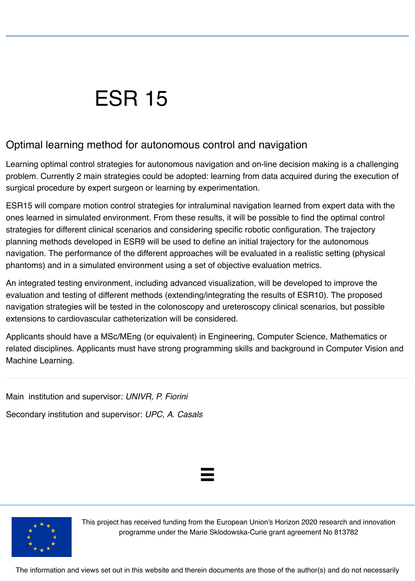## ESR 15

#### Optimal learning method for autonomous control and navigation

Learning optimal control strategies for autonomous navigation and on-line decision making is a challenging problem. Currently 2 main strategies could be adopted: learning from data acquired during the execution of surgical procedure by expert surgeon or learning by experimentation.

ESR15 will compare motion control strategies for intraluminal navigation learned from expert data with the ones learned in simulated environment. From these results, it will be possible to find the optimal control strategies for different clinical scenarios and considering specific robotic configuration. The trajectory planning methods developed in ESR9 will be used to define an initial trajectory for the autonomous navigation. The performance of the different approaches will be evaluated in a realistic setting (physical phantoms) and in a simulated environment using a set of objective evaluation metrics.

An integrated testing environment, including advanced visualization, will be developed to improve the evaluation and testing of different methods (extending/integrating the results of ESR10). The proposed navigation strategies will be tested in the colonoscopy and ureteroscopy clinical scenarios, but possible extensions to cardiovascular catheterization will be considered.

Applicants should have a MSc/MEng (or equivalent) in Engineering, Computer Science, Mathematics or related disciplines. Applicants must have strong programming skills and background in Computer Vision and Machine Learning.

Main institution and supervisor: *UNIVR, P. Fiorini*

Secondary institution and supervisor: *UPC, A. Casals*





This project has received funding from the European Union's Horizon 2020 research and innovation programme under the Marie Sklodowska-Curie grant agreement No 813782

The information and views set out in this website and therein documents are those of the author(s) and do not necessarily